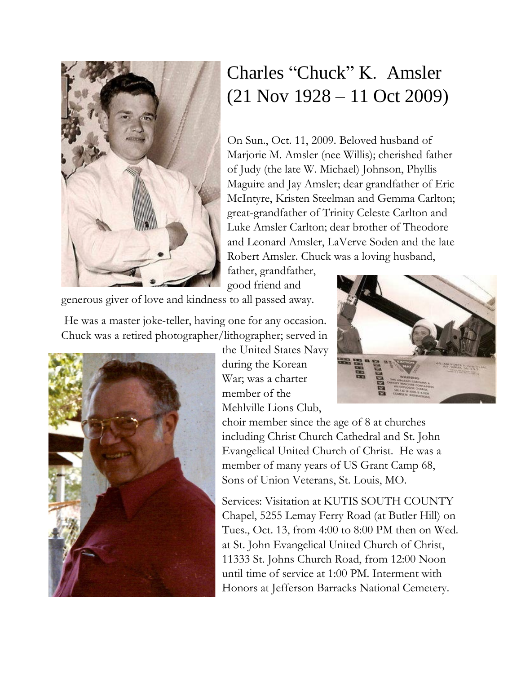

## Charles "Chuck" K. Amsler (21 Nov 1928 – 11 Oct 2009)

On Sun., Oct. 11, 2009. Beloved husband of Marjorie M. Amsler (nee Willis); cherished father of Judy (the late W. Michael) Johnson, Phyllis Maguire and Jay Amsler; dear grandfather of Eric McIntyre, Kristen Steelman and Gemma Carlton; great-grandfather of Trinity Celeste Carlton and Luke Amsler Carlton; dear brother of Theodore and Leonard Amsler, LaVerve Soden and the late Robert Amsler. Chuck was a loving husband,

father, grandfather, good friend and

generous giver of love and kindness to all passed away.

He was a master joke-teller, having one for any occasion. Chuck was a retired photographer/lithographer; served in



the United States Navy during the Korean War; was a charter member of the Mehlville Lions Club,



choir member since the age of 8 at churches including Christ Church Cathedral and St. John Evangelical United Church of Christ. He was a member of many years of US Grant Camp 68, Sons of Union Veterans, St. Louis, MO.

Services: Visitation at KUTIS SOUTH COUNTY Chapel, 5255 Lemay Ferry Road (at Butler Hill) on Tues., Oct. 13, from 4:00 to 8:00 PM then on Wed. at St. John Evangelical United Church of Christ, 11333 St. Johns Church Road, from 12:00 Noon until time of service at 1:00 PM. Interment with Honors at Jefferson Barracks National Cemetery.